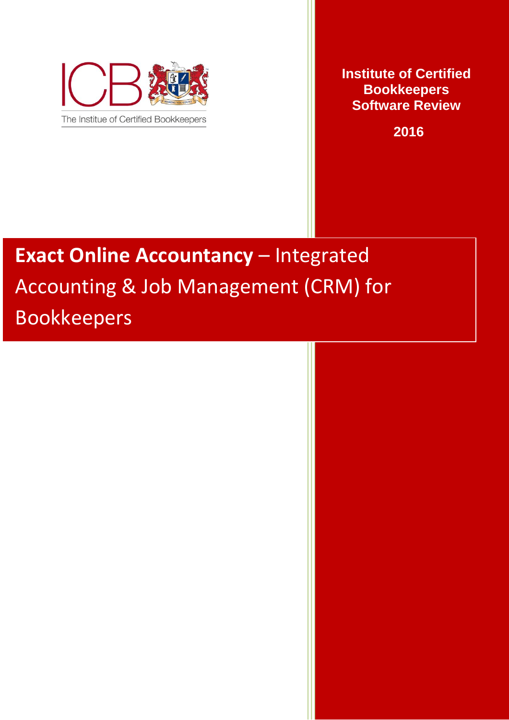

**Institute of Certified Bookkeepers Software Review**

 **2016**

# **Exact Online Accountancy** – Integrated Accounting & Job Management (CRM) for Bookkeepers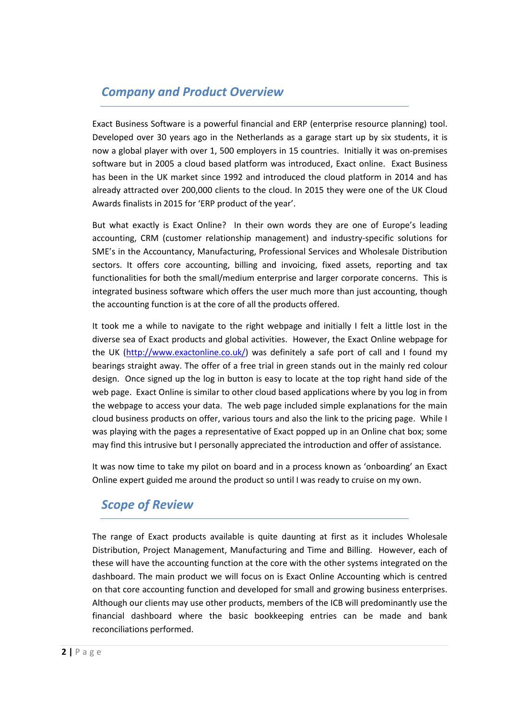# *Company and Product Overview*

Exact Business Software is a powerful financial and ERP (enterprise resource planning) tool. Developed over 30 years ago in the Netherlands as a garage start up by six students, it is now a global player with over 1, 500 employers in 15 countries. Initially it was on-premises software but in 2005 a cloud based platform was introduced, Exact online. Exact Business has been in the UK market since 1992 and introduced the cloud platform in 2014 and has already attracted over 200,000 clients to the cloud. In 2015 they were one of the UK Cloud Awards finalists in 2015 for 'ERP product of the year'.

But what exactly is Exact Online? In their own words they are one of Europe's leading accounting, CRM (customer relationship management) and industry-specific solutions for SME's in the Accountancy, Manufacturing, Professional Services and Wholesale Distribution sectors. It offers core accounting, billing and invoicing, fixed assets, reporting and tax functionalities for both the small/medium enterprise and larger corporate concerns. This is integrated business software which offers the user much more than just accounting, though the accounting function is at the core of all the products offered.

It took me a while to navigate to the right webpage and initially I feIt a little lost in the diverse sea of Exact products and global activities. However, the Exact Online webpage for the UK [\(http://www.exactonline.co.uk/\)](http://www.exactonline.co.uk/) was definitely a safe port of call and I found my bearings straight away. The offer of a free trial in green stands out in the mainly red colour design. Once signed up the log in button is easy to locate at the top right hand side of the web page. Exact Online is similar to other cloud based applications where by you log in from the webpage to access your data. The web page included simple explanations for the main cloud business products on offer, various tours and also the link to the pricing page. While I was playing with the pages a representative of Exact popped up in an Online chat box; some may find this intrusive but I personally appreciated the introduction and offer of assistance.

It was now time to take my pilot on board and in a process known as 'onboarding' an Exact Online expert guided me around the product so until I was ready to cruise on my own.

# *Scope of Review*

The range of Exact products available is quite daunting at first as it includes Wholesale Distribution, Project Management, Manufacturing and Time and Billing. However, each of these will have the accounting function at the core with the other systems integrated on the dashboard. The main product we will focus on is Exact Online Accounting which is centred on that core accounting function and developed for small and growing business enterprises. Although our clients may use other products, members of the ICB will predominantly use the financial dashboard where the basic bookkeeping entries can be made and bank reconciliations performed.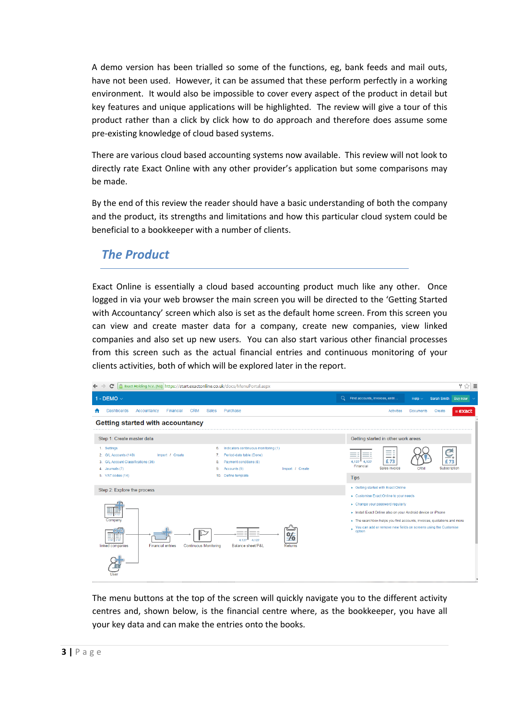A demo version has been trialled so some of the functions, eg, bank feeds and mail outs, have not been used. However, it can be assumed that these perform perfectly in a working environment. It would also be impossible to cover every aspect of the product in detail but key features and unique applications will be highlighted. The review will give a tour of this product rather than a click by click how to do approach and therefore does assume some pre-existing knowledge of cloud based systems.

There are various cloud based accounting systems now available. This review will not look to directly rate Exact Online with any other provider's application but some comparisons may be made.

By the end of this review the reader should have a basic understanding of both the company and the product, its strengths and limitations and how this particular cloud system could be beneficial to a bookkeeper with a number of clients.

## *The Product*

Exact Online is essentially a cloud based accounting product much like any other. Once logged in via your web browser the main screen you will be directed to the 'Getting Started with Accountancy' screen which also is set as the default home screen. From this screen you can view and create master data for a company, create new companies, view linked companies and also set up new users. You can also start various other financial processes from this screen such as the actual financial entries and continuous monitoring of your clients activities, both of which will be explored later in the report.



The menu buttons at the top of the screen will quickly navigate you to the different activity centres and, shown below, is the financial centre where, as the bookkeeper, you have all your key data and can make the entries onto the books.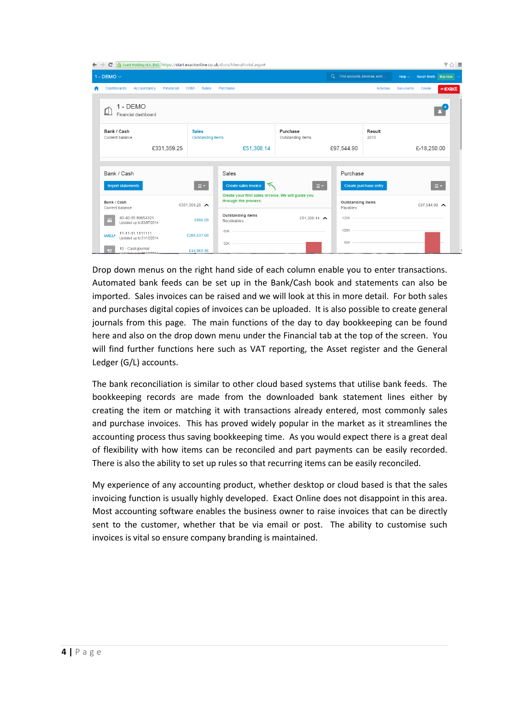| $\leftarrow$                                                                                                                                                                                                                                                   | Exact Holding N.V. [NL] https://start.exactonline.co.uk/docs/MenuPortal.aspx#<br>$\mathbf{C}$<br>$\rightarrow$ |                                                                            |            |                                  |                               |                                  |                |                                                      |                       |  | $\frac{1}{2}$ $\frac{1}{2}$ $\frac{1}{2}$ |
|----------------------------------------------------------------------------------------------------------------------------------------------------------------------------------------------------------------------------------------------------------------|----------------------------------------------------------------------------------------------------------------|----------------------------------------------------------------------------|------------|----------------------------------|-------------------------------|----------------------------------|----------------|------------------------------------------------------|-----------------------|--|-------------------------------------------|
|                                                                                                                                                                                                                                                                |                                                                                                                |                                                                            |            |                                  |                               | Q Find accounts, invoices, entri |                | Help $\sim$                                          | Sarah Smith Buy now ~ |  |                                           |
| 1 - DEMO $\vee$<br><b>CRM</b><br><b>Sales</b><br><b>Dashboards</b><br>Accountancy<br>Financial<br>1 - DEMO<br>í<br>Financial dashboard<br>Bank / Cash<br><b>Sales</b><br>Current balance<br>£331,359.25<br>Bank / Cash<br>$\equiv$<br><b>Import statements</b> |                                                                                                                | Purchase                                                                   |            |                                  | <b>Activities</b>             | <b>Documents</b>                 | Create         | $=$ $\epsilon$ <i>x</i> $\alpha$ $\alpha$ $\epsilon$ |                       |  |                                           |
|                                                                                                                                                                                                                                                                |                                                                                                                |                                                                            |            |                                  |                               |                                  |                |                                                      |                       |  |                                           |
|                                                                                                                                                                                                                                                                |                                                                                                                |                                                                            |            |                                  | Purchase<br>Outstanding items |                                  | Result<br>2015 |                                                      |                       |  |                                           |
|                                                                                                                                                                                                                                                                |                                                                                                                |                                                                            |            | £51,308.14                       |                               | £97,544.90                       |                |                                                      | £-18,250.00           |  |                                           |
|                                                                                                                                                                                                                                                                |                                                                                                                |                                                                            |            |                                  |                               |                                  |                |                                                      |                       |  |                                           |
| <b>Outstanding items</b><br>Bank / Cash<br>£331,359.25 $\triangle$                                                                                                                                                                                             |                                                                                                                |                                                                            | Sales      |                                  | Purchase                      |                                  |                |                                                      |                       |  |                                           |
|                                                                                                                                                                                                                                                                |                                                                                                                |                                                                            |            | ↸<br><b>Create sales invoice</b> | <b>Create purchase entry</b>  |                                  |                | $\equiv$ $\star$                                     |                       |  |                                           |
| Current balance<br>40-40-35 89654321<br>£856.09<br>Ħ<br>Updated up to 03/07/2014                                                                                                                                                                               |                                                                                                                | Create your first sales invoice. We will guide you<br>through the process. |            | Outstanding items<br>Payables    | £97.544.90 $\triangle$        |                                  |                |                                                      |                       |  |                                           |
|                                                                                                                                                                                                                                                                |                                                                                                                | Outstanding items<br>£51,308.14<br>Receivables                             |            | 120K                             |                               |                                  |                |                                                      |                       |  |                                           |
|                                                                                                                                                                                                                                                                | 11-11-11 1111111<br><b>BARCLA</b><br>Updated up to 31/12/2014                                                  | £285,637.60                                                                |            | $60K -$                          |                               | 100K                             |                |                                                      |                       |  |                                           |
|                                                                                                                                                                                                                                                                | 10 - Cash journal<br><b>September</b><br><b>ALLA AGAADAL</b>                                                   |                                                                            | £44,865.56 | 50K                              |                               | 80K                              |                |                                                      |                       |  |                                           |

Drop down menus on the right hand side of each column enable you to enter transactions. Automated bank feeds can be set up in the Bank/Cash book and statements can also be imported. Sales invoices can be raised and we will look at this in more detail. For both sales and purchases digital copies of invoices can be uploaded. It is also possible to create general journals from this page. The main functions of the day to day bookkeeping can be found here and also on the drop down menu under the Financial tab at the top of the screen. You will find further functions here such as VAT reporting, the Asset register and the General Ledger (G/L) accounts.

The bank reconciliation is similar to other cloud based systems that utilise bank feeds. The bookkeeping records are made from the downloaded bank statement lines either by creating the item or matching it with transactions already entered, most commonly sales and purchase invoices. This has proved widely popular in the market as it streamlines the accounting process thus saving bookkeeping time. As you would expect there is a great deal of flexibility with how items can be reconciled and part payments can be easily recorded. There is also the ability to set up rules so that recurring items can be easily reconciled.

My experience of any accounting product, whether desktop or cloud based is that the sales invoicing function is usually highly developed. Exact Online does not disappoint in this area. Most accounting software enables the business owner to raise invoices that can be directly sent to the customer, whether that be via email or post. The ability to customise such invoices is vital so ensure company branding is maintained.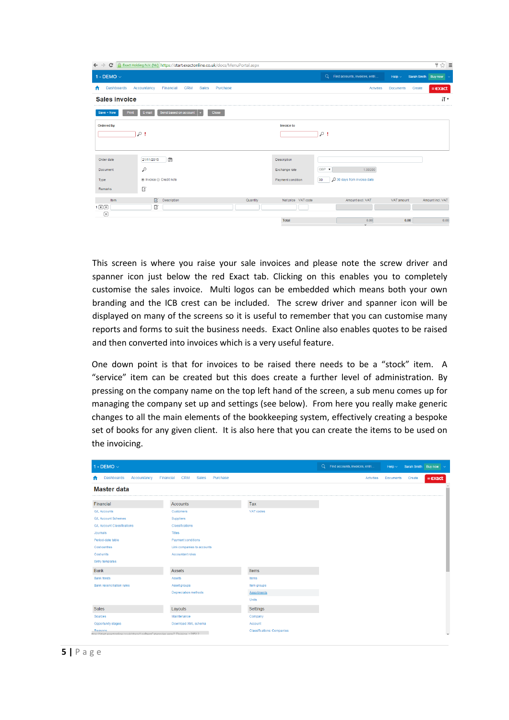| c<br>$\rightarrow$<br>$\leftarrow$ | Exact Holding N.V. [NL] https://start.exactonline.co.uk/docs/MenuPortal.aspx |                    |              |                                |                  |        | $\frac{1}{2}$ $\frac{1}{2}$ =                        |
|------------------------------------|------------------------------------------------------------------------------|--------------------|--------------|--------------------------------|------------------|--------|------------------------------------------------------|
| 1 - DEMO $\vee$                    |                                                                              |                    | $\mathsf{Q}$ | Find accounts, invoices, entri | Help $\sim$      |        | Sarah Smith Buy now $\sim$                           |
| <b>Dashboards</b>                  | Accountancy<br>Financial<br><b>CRM</b><br>Purchase<br>Sales                  |                    |              | Activities                     | <b>Documents</b> | Create | $=$ $\epsilon$ <i>x</i> $\alpha$ $\alpha$ $\epsilon$ |
| <b>Sales invoice</b>               |                                                                              |                    |              |                                |                  |        | i٢۰                                                  |
| Print<br>Save + New                | Send based on account<br>Close<br>E-mail<br>►                                |                    |              |                                |                  |        |                                                      |
| <b>Ordered by</b>                  | $\sim$ !                                                                     | <b>Invoice to</b>  | $\sim$ !     |                                |                  |        |                                                      |
| Order date                         | 曾<br>21/11/2015                                                              | Description        |              |                                |                  |        |                                                      |
| Document                           | $\sim$                                                                       | Exchange rate      | GBP <b>v</b> | 1.00000                        |                  |        |                                                      |
| Type                               | ● Invoice ● Credit note                                                      | Payment condition  | 30           | O 30 days from invoice date    |                  |        |                                                      |
| Remarks                            | 國                                                                            |                    |              |                                |                  |        |                                                      |
| Item                               | 國<br>Description<br>Quantity                                                 | Net price VAT code |              | Amount excl. VAT               | VAT amount       |        | Amount incl. VAT                                     |
| 1図田<br>$\bigoplus$                 | 國                                                                            |                    |              |                                |                  |        |                                                      |
|                                    |                                                                              | Total              |              | 0.00<br>$\vee$                 |                  | 0.00   | 0.00                                                 |

This screen is where you raise your sale invoices and please note the screw driver and spanner icon just below the red Exact tab. Clicking on this enables you to completely customise the sales invoice. Multi logos can be embedded which means both your own branding and the ICB crest can be included. The screw driver and spanner icon will be displayed on many of the screens so it is useful to remember that you can customise many reports and forms to suit the business needs. Exact Online also enables quotes to be raised and then converted into invoices which is a very useful feature.

One down point is that for invoices to be raised there needs to be a "stock" item. A "service" item can be created but this does create a further level of administration. By pressing on the company name on the top left hand of the screen, a sub menu comes up for managing the company set up and settings (see below). From here you really make generic changes to all the main elements of the bookkeeping system, effectively creating a bespoke set of books for any given client. It is also here that you can create the items to be used on the invoicing.

| 1 - DEMO $\vee$                                                                      |                                              |                                   | Q Find accounts, invoices, entri | Help $\sim$      |        | Sarah Smith Buy now $\sim$  |   |
|--------------------------------------------------------------------------------------|----------------------------------------------|-----------------------------------|----------------------------------|------------------|--------|-----------------------------|---|
| <b>Dashboards</b><br>Accountancy<br>п                                                | Financial<br><b>CRM</b><br>Sales<br>Purchase |                                   | Activities                       | <b>Documents</b> | Create | $=$ $\epsilon$ <i>x</i> act |   |
| <b>Master data</b>                                                                   |                                              |                                   |                                  |                  |        |                             |   |
| Financial                                                                            | <b>Accounts</b>                              | Tax                               |                                  |                  |        |                             |   |
| <b>G/L Accounts</b>                                                                  | Customers                                    | VAT codes                         |                                  |                  |        |                             |   |
| <b>G/L Account Schemes</b>                                                           | <b>Suppliers</b>                             |                                   |                                  |                  |        |                             |   |
| <b>G/L Account Classifications</b>                                                   | Classifications                              |                                   |                                  |                  |        |                             |   |
| Journals                                                                             | <b>Titles</b>                                |                                   |                                  |                  |        |                             |   |
| Period-date table                                                                    | Payment conditions                           |                                   |                                  |                  |        |                             |   |
| Cost centres                                                                         | Link companies to accounts                   |                                   |                                  |                  |        |                             |   |
| Cost units                                                                           | Accountant roles                             |                                   |                                  |                  |        |                             |   |
| Entry templates                                                                      |                                              |                                   |                                  |                  |        |                             |   |
| <b>Bank</b>                                                                          | Assets                                       | Items                             |                                  |                  |        |                             |   |
| <b>Bank feeds</b>                                                                    | <b>Assets</b>                                | Items                             |                                  |                  |        |                             |   |
| <b>Bank reconciliation rules</b>                                                     | Asset groups                                 | Item groups                       |                                  |                  |        |                             |   |
|                                                                                      | <b>Depreciation methods</b>                  | <b>Assortments</b>                |                                  |                  |        |                             |   |
|                                                                                      |                                              | Units                             |                                  |                  |        |                             |   |
| <b>Sales</b>                                                                         | Layouts                                      | Settings                          |                                  |                  |        |                             |   |
| Sources                                                                              | Maintenance                                  | Company                           |                                  |                  |        |                             |   |
| Opportunity stages                                                                   | Download XML schema                          | Account                           |                                  |                  |        |                             |   |
| Reasons<br>the://startexactopline.co.uk/docs/LogItemCategories.aspx? Division =28512 |                                              | <b>Classifications: Companies</b> |                                  |                  |        |                             | ٠ |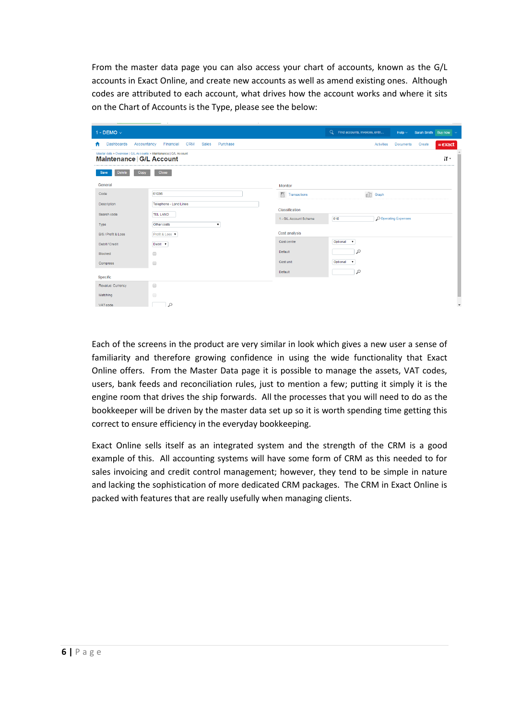From the master data page you can also access your chart of accounts, known as the G/L accounts in Exact Online, and create new accounts as well as amend existing ones. Although codes are attributed to each account, what drives how the account works and where it sits on the Chart of Accounts is the Type, please see the below:

| $\sim$ 100 $\pm$                                                                               | $\sim$         |                        |                                  |                                       |                            |                                                        |  |
|------------------------------------------------------------------------------------------------|----------------|------------------------|----------------------------------|---------------------------------------|----------------------------|--------------------------------------------------------|--|
| 1 - DEMO $\vee$                                                                                |                |                        | Q Find accounts, invoices, entri | Help $\sim$                           | Sarah Smith Buy now $\sim$ |                                                        |  |
| <b>Dashboards</b><br><b>CRM</b><br>Accountancy<br>Financial<br><b>Sales</b><br>Ħ               | Purchase       |                        |                                  | <b>Activities</b><br><b>Documents</b> | Create                     | $=$ $\epsilon$ <i>x</i> $\alpha$ $\epsilon$ $\epsilon$ |  |
| Master data > Overview   G/L Accounts > Maintenance   G/L Account<br>Maintenance   G/L Account |                |                        |                                  |                                       |                            | i٢۰                                                    |  |
| Close<br>Delete<br>Copy<br>Save                                                                |                |                        |                                  |                                       |                            |                                                        |  |
| General                                                                                        |                | Monitor                |                                  |                                       |                            |                                                        |  |
| 61036<br>Code                                                                                  | $\overline{B}$ | Transactions           | d0                               | Graph                                 |                            |                                                        |  |
| Telephone - Land Lines<br>Description                                                          |                |                        |                                  |                                       |                            |                                                        |  |
| <b>TEL LAND</b><br>Search code                                                                 |                | Classification         |                                  |                                       |                            |                                                        |  |
| ۰.<br>Other costs<br>Type                                                                      |                | 1 - G/L Account Scheme | 610                              | O Operating Expenses                  |                            |                                                        |  |
| B/S / Profit & Loss<br>Profit & Loss v                                                         |                | Cost analysis          |                                  |                                       |                            |                                                        |  |
| Debit <b>v</b><br>Debit / Credit                                                               |                | Cost centre            | Optional<br>$\mathbf v$          |                                       |                            |                                                        |  |
| $\qquad \qquad \Box$<br>Blocked                                                                | Default        |                        | $\sim$                           |                                       |                            |                                                        |  |
| $\Box$<br>Compress                                                                             |                | Cost unit              | Optional<br>$\pmb{\mathrm{v}}$   |                                       |                            |                                                        |  |
|                                                                                                | Default        |                        | $\circ$                          |                                       |                            |                                                        |  |
| Specific                                                                                       |                |                        |                                  |                                       |                            |                                                        |  |
| $\qquad \qquad \Box$<br>Revalue: Currency                                                      |                |                        |                                  |                                       |                            |                                                        |  |
| $\Box$<br>Matching                                                                             |                |                        |                                  |                                       |                            |                                                        |  |
| $\circ$<br>VAT code                                                                            |                |                        |                                  |                                       |                            |                                                        |  |

Each of the screens in the product are very similar in look which gives a new user a sense of familiarity and therefore growing confidence in using the wide functionality that Exact Online offers. From the Master Data page it is possible to manage the assets, VAT codes, users, bank feeds and reconciliation rules, just to mention a few; putting it simply it is the engine room that drives the ship forwards. All the processes that you will need to do as the bookkeeper will be driven by the master data set up so it is worth spending time getting this correct to ensure efficiency in the everyday bookkeeping.

Exact Online sells itself as an integrated system and the strength of the CRM is a good example of this. All accounting systems will have some form of CRM as this needed to for sales invoicing and credit control management; however, they tend to be simple in nature and lacking the sophistication of more dedicated CRM packages. The CRM in Exact Online is packed with features that are really usefully when managing clients.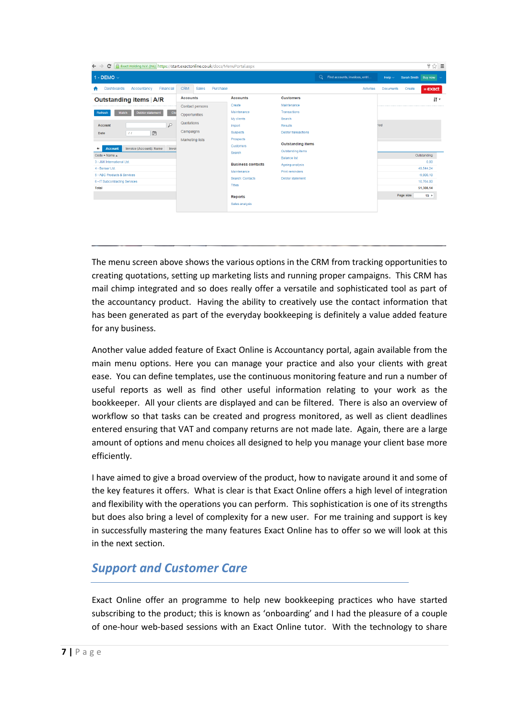| A Exact Holding N.V. [NL] https://start.exactonline.co.uk/docs/MenuPortal.aspx<br>C<br>$\leftarrow$<br>$\rightarrow$                                                                                                             |                                                                                                          |                                                                                                                                                                                                                                                                                                                                                                                                            |                                                        |                                                |                  |                            |                                                                           | $\frac{1}{2}$ $\frac{1}{2}$ $\frac{1}{2}$ |
|----------------------------------------------------------------------------------------------------------------------------------------------------------------------------------------------------------------------------------|----------------------------------------------------------------------------------------------------------|------------------------------------------------------------------------------------------------------------------------------------------------------------------------------------------------------------------------------------------------------------------------------------------------------------------------------------------------------------------------------------------------------------|--------------------------------------------------------|------------------------------------------------|------------------|----------------------------|---------------------------------------------------------------------------|-------------------------------------------|
| 1 - DEMO $\vee$                                                                                                                                                                                                                  |                                                                                                          |                                                                                                                                                                                                                                                                                                                                                                                                            |                                                        | $\mathsf{Q}$<br>Find accounts, invoices, entri | Help $\sim$      | Sarah Smith Buy now $\sim$ |                                                                           |                                           |
| <b>Dashboards</b><br>Accountancy<br>Financial<br>п                                                                                                                                                                               | <b>CRM</b><br>Purchase<br><b>Sales</b>                                                                   |                                                                                                                                                                                                                                                                                                                                                                                                            |                                                        | Activities                                     | <b>Documents</b> | Create                     | $=$ $\epsilon$ $x$ act                                                    |                                           |
| <b>Outstanding items   A/R</b><br><b>Debtor statement</b><br>Clo<br><b>Match</b><br>Refresh<br>$\sim$<br><b>Account</b><br>$\widehat{\Xi}$<br>$\overline{11}$<br>Date<br>Invoice (Account): Name<br><b>Account</b><br>Invoi<br>÷ | <b>Accounts</b><br>Contact persons<br>Opportunities<br>Quotations<br>Campaigns<br><b>Marketing lists</b> | <b>Customers</b><br><b>Accounts</b><br>Maintenance<br>Create<br>Transactions<br>Maintenance<br>My clients<br>Search<br><b>Results</b><br>Import<br><b>Suspects</b><br>Prospects<br><b>Customers</b><br>Outstanding items<br>Search<br><b>Balance list</b><br><b>Business contacts</b><br>Ageing analysis<br><b>Print reminders</b><br>Maintenance<br>Search: Contacts<br>Debtor statement<br><b>Titles</b> | <b>Debtor transactions</b><br><b>Outstanding items</b> |                                                | tiod             |                            | i۲۰                                                                       |                                           |
| Code + Name $\triangle$<br>3 - J&K International Ltd.<br>4 - Senser Ltd.<br>5 - ABC Products & Services<br>6 - IT Subcontracting Services<br><b>Total</b>                                                                        |                                                                                                          |                                                                                                                                                                                                                                                                                                                                                                                                            |                                                        |                                                |                  |                            | Outstanding<br>0.00<br>49.544.24<br>$-9,000.10$<br>10.764.00<br>51,308.14 |                                           |
|                                                                                                                                                                                                                                  |                                                                                                          | <b>Reports</b><br>Sales analysis                                                                                                                                                                                                                                                                                                                                                                           |                                                        |                                                |                  | Page size                  | $15$ $\rightarrow$                                                        |                                           |

The menu screen above shows the various options in the CRM from tracking opportunities to creating quotations, setting up marketing lists and running proper campaigns. This CRM has mail chimp integrated and so does really offer a versatile and sophisticated tool as part of the accountancy product. Having the ability to creatively use the contact information that has been generated as part of the everyday bookkeeping is definitely a value added feature for any business.

Another value added feature of Exact Online is Accountancy portal, again available from the main menu options. Here you can manage your practice and also your clients with great ease. You can define templates, use the continuous monitoring feature and run a number of useful reports as well as find other useful information relating to your work as the bookkeeper. All your clients are displayed and can be filtered. There is also an overview of workflow so that tasks can be created and progress monitored, as well as client deadlines entered ensuring that VAT and company returns are not made late. Again, there are a large amount of options and menu choices all designed to help you manage your client base more efficiently.

I have aimed to give a broad overview of the product, how to navigate around it and some of the key features it offers. What is clear is that Exact Online offers a high level of integration and flexibility with the operations you can perform. This sophistication is one of its strengths but does also bring a level of complexity for a new user. For me training and support is key in successfully mastering the many features Exact Online has to offer so we will look at this in the next section.

## *Support and Customer Care*

Exact Online offer an programme to help new bookkeeping practices who have started subscribing to the product; this is known as 'onboarding' and I had the pleasure of a couple of one-hour web-based sessions with an Exact Online tutor. With the technology to share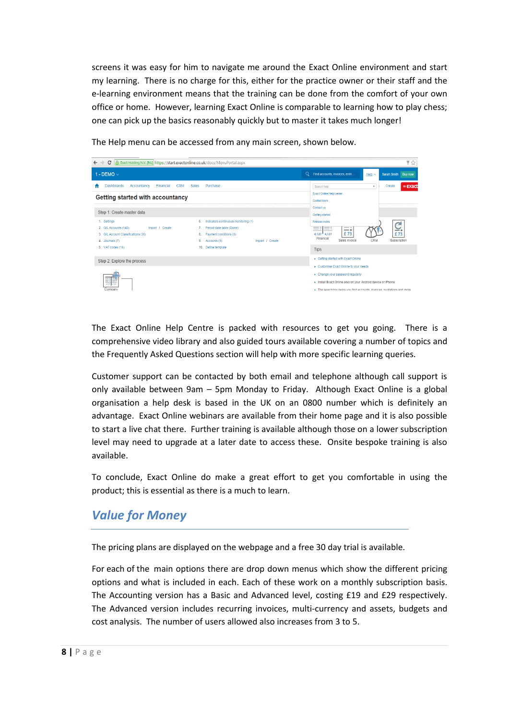screens it was easy for him to navigate me around the Exact Online environment and start my learning. There is no charge for this, either for the practice owner or their staff and the e-learning environment means that the training can be done from the comfort of your own office or home. However, learning Exact Online is comparable to learning how to play chess; one can pick up the basics reasonably quickly but to master it takes much longer!



The Help menu can be accessed from any main screen, shown below.

The Exact Online Help Centre is packed with resources to get you going. There is a comprehensive video library and also guided tours available covering a number of topics and the Frequently Asked Questions section will help with more specific learning queries.

Customer support can be contacted by both email and telephone although call support is only available between 9am – 5pm Monday to Friday. Although Exact Online is a global organisation a help desk is based in the UK on an 0800 number which is definitely an advantage. Exact Online webinars are available from their home page and it is also possible to start a live chat there. Further training is available although those on a lower subscription level may need to upgrade at a later date to access these. Onsite bespoke training is also available.

To conclude, Exact Online do make a great effort to get you comfortable in using the product; this is essential as there is a much to learn.

#### *Value for Money*

The pricing plans are displayed on the webpage and a free 30 day trial is available.

For each of the main options there are drop down menus which show the different pricing options and what is included in each. Each of these work on a monthly subscription basis. The Accounting version has a Basic and Advanced level, costing £19 and £29 respectively. The Advanced version includes recurring invoices, multi-currency and assets, budgets and cost analysis. The number of users allowed also increases from 3 to 5.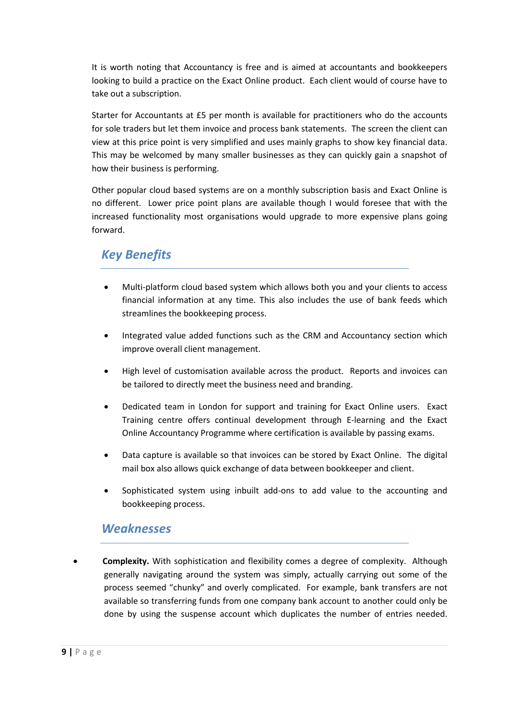It is worth noting that Accountancy is free and is aimed at accountants and bookkeepers looking to build a practice on the Exact Online product. Each client would of course have to take out a subscription.

Starter for Accountants at £5 per month is available for practitioners who do the accounts for sole traders but let them invoice and process bank statements. The screen the client can view at this price point is very simplified and uses mainly graphs to show key financial data. This may be welcomed by many smaller businesses as they can quickly gain a snapshot of how their business is performing.

Other popular cloud based systems are on a monthly subscription basis and Exact Online is no different. Lower price point plans are available though I would foresee that with the increased functionality most organisations would upgrade to more expensive plans going forward.

# *Key Benefits*

- Multi-platform cloud based system which allows both you and your clients to access financial information at any time. This also includes the use of bank feeds which streamlines the bookkeeping process.
- Integrated value added functions such as the CRM and Accountancy section which improve overall client management.
- High level of customisation available across the product. Reports and invoices can be tailored to directly meet the business need and branding.
- Dedicated team in London for support and training for Exact Online users. Exact Training centre offers continual development through E-learning and the Exact Online Accountancy Programme where certification is available by passing exams.
- Data capture is available so that invoices can be stored by Exact Online. The digital mail box also allows quick exchange of data between bookkeeper and client.
- Sophisticated system using inbuilt add-ons to add value to the accounting and bookkeeping process.

#### *Weaknesses*

 **Complexity.** With sophistication and flexibility comes a degree of complexity. Although generally navigating around the system was simply, actually carrying out some of the process seemed "chunky" and overly complicated. For example, bank transfers are not available so transferring funds from one company bank account to another could only be done by using the suspense account which duplicates the number of entries needed.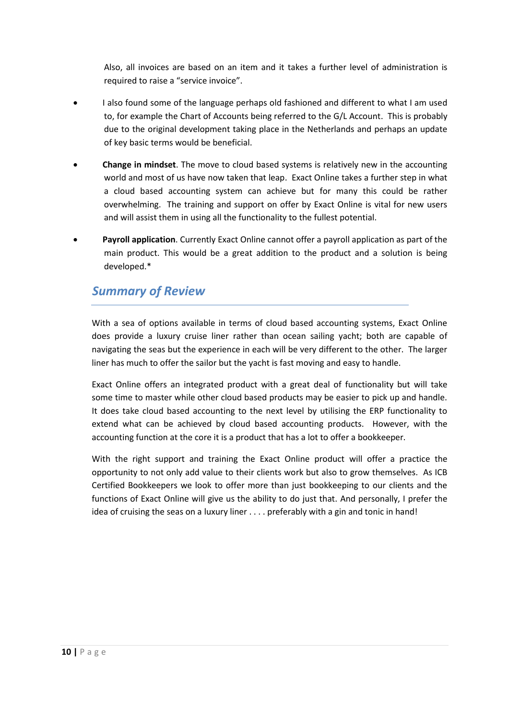Also, all invoices are based on an item and it takes a further level of administration is required to raise a "service invoice".

- I also found some of the language perhaps old fashioned and different to what I am used to, for example the Chart of Accounts being referred to the G/L Account. This is probably due to the original development taking place in the Netherlands and perhaps an update of key basic terms would be beneficial.
- **Change in mindset**. The move to cloud based systems is relatively new in the accounting world and most of us have now taken that leap. Exact Online takes a further step in what a cloud based accounting system can achieve but for many this could be rather overwhelming. The training and support on offer by Exact Online is vital for new users and will assist them in using all the functionality to the fullest potential.
- **Payroll application**. Currently Exact Online cannot offer a payroll application as part of the main product. This would be a great addition to the product and a solution is being developed.\*

#### *Summary of Review*

With a sea of options available in terms of cloud based accounting systems, Exact Online does provide a luxury cruise liner rather than ocean sailing yacht; both are capable of navigating the seas but the experience in each will be very different to the other. The larger liner has much to offer the sailor but the yacht is fast moving and easy to handle.

Exact Online offers an integrated product with a great deal of functionality but will take some time to master while other cloud based products may be easier to pick up and handle. It does take cloud based accounting to the next level by utilising the ERP functionality to extend what can be achieved by cloud based accounting products. However, with the accounting function at the core it is a product that has a lot to offer a bookkeeper.

With the right support and training the Exact Online product will offer a practice the opportunity to not only add value to their clients work but also to grow themselves. As ICB Certified Bookkeepers we look to offer more than just bookkeeping to our clients and the functions of Exact Online will give us the ability to do just that. And personally, I prefer the idea of cruising the seas on a luxury liner . . . . preferably with a gin and tonic in hand!